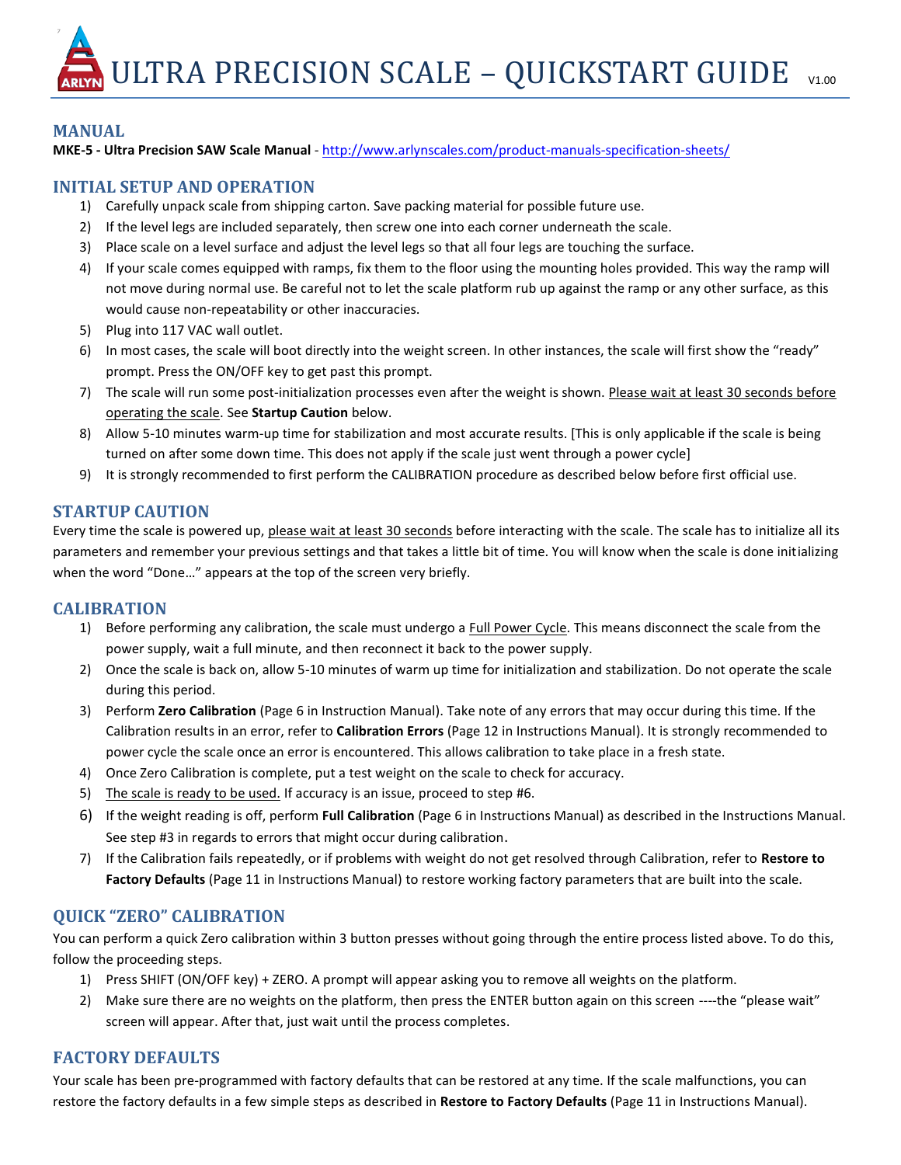ULTRA PRECISION SCALE – QUICKSTART GUIDE  $V1.00$ 

### **MANUAL**

**MKE-5 - Ultra Precision SAW Scale Manual** - <http://www.arlynscales.com/product-manuals-specification-sheets/>

### **INITIAL SETUP AND OPERATION**

- 1) Carefully unpack scale from shipping carton. Save packing material for possible future use.
- 2) If the level legs are included separately, then screw one into each corner underneath the scale.
- 3) Place scale on a level surface and adjust the level legs so that all four legs are touching the surface.
- 4) If your scale comes equipped with ramps, fix them to the floor using the mounting holes provided. This way the ramp will not move during normal use. Be careful not to let the scale platform rub up against the ramp or any other surface, as this would cause non-repeatability or other inaccuracies.
- 5) Plug into 117 VAC wall outlet.
- 6) In most cases, the scale will boot directly into the weight screen. In other instances, the scale will first show the "ready" prompt. Press the ON/OFF key to get past this prompt.
- 7) The scale will run some post-initialization processes even after the weight is shown. Please wait at least 30 seconds before operating the scale. See **Startup Caution** below.
- 8) Allow 5-10 minutes warm-up time for stabilization and most accurate results. [This is only applicable if the scale is being turned on after some down time. This does not apply if the scale just went through a power cycle]
- 9) It is strongly recommended to first perform the CALIBRATION procedure as described below before first official use.

### **STARTUP CAUTION**

Every time the scale is powered up, please wait at least 30 seconds before interacting with the scale. The scale has to initialize all its parameters and remember your previous settings and that takes a little bit of time. You will know when the scale is done initializing when the word "Done…" appears at the top of the screen very briefly.

#### **CALIBRATION**

- 1) Before performing any calibration, the scale must undergo a Full Power Cycle. This means disconnect the scale from the power supply, wait a full minute, and then reconnect it back to the power supply.
- 2) Once the scale is back on, allow 5-10 minutes of warm up time for initialization and stabilization. Do not operate the scale during this period.
- 3) Perform **Zero Calibration** (Page 6 in Instruction Manual). Take note of any errors that may occur during this time. If the Calibration results in an error, refer to **Calibration Errors** (Page 12 in Instructions Manual). It is strongly recommended to power cycle the scale once an error is encountered. This allows calibration to take place in a fresh state.
- 4) Once Zero Calibration is complete, put a test weight on the scale to check for accuracy.
- 5) The scale is ready to be used. If accuracy is an issue, proceed to step #6.
- 6) If the weight reading is off, perform **Full Calibration** (Page 6 in Instructions Manual) as described in the Instructions Manual. See step #3 in regards to errors that might occur during calibration.
- 7) If the Calibration fails repeatedly, or if problems with weight do not get resolved through Calibration, refer to **Restore to Factory Defaults** (Page 11 in Instructions Manual) to restore working factory parameters that are built into the scale.

# **QUICK "ZERO" CALIBRATION**

You can perform a quick Zero calibration within 3 button presses without going through the entire process listed above. To do this, follow the proceeding steps.

- 1) Press SHIFT (ON/OFF key) + ZERO. A prompt will appear asking you to remove all weights on the platform.
- 2) Make sure there are no weights on the platform, then press the ENTER button again on this screen ----the "please wait" screen will appear. After that, just wait until the process completes.

# **FACTORY DEFAULTS**

Your scale has been pre-programmed with factory defaults that can be restored at any time. If the scale malfunctions, you can restore the factory defaults in a few simple steps as described in **Restore to Factory Defaults** (Page 11 in Instructions Manual).